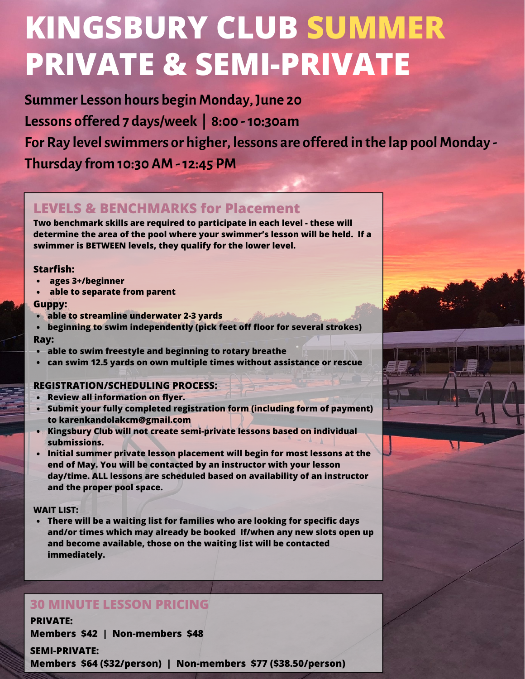# **KINGSBURY CLUB SUMMER PRIVATE & SEMI-PRIVATE**

**Summer Lesson hours beginMonday,June 20 Lessons offered 7 days/week | 8:00 -10:30am For Ray levelswimmers or higher, lessons are offered in the lap poolMonday - Thursday from 10:30 AM-12:45 PM**

#### **LEVELS & BENCHMARKS for Placement**

**Two benchmark skills are required to participate in each level - these will determine the area of the pool where your swimmer's lesson will be held. If a swimmer is BETWEEN levels, they qualify for the lower level.**

#### **Starfish:**

- **ages 3+/beginner**
- **able to separate from parent**

#### **Guppy:**

- **able to streamline underwater 2-3 yards**
- **beginning to swim independently (pick feet off floor for several strokes) Ray:**
- $\bullet$ **able to swim freestyle and beginning to rotary breathe**
- **can swim 12.5 yards on own multiple times without assistance or rescue**

#### **REGISTRATION/SCHEDULING PROCESS:**

- **Review all information on flyer.**
- **Submit your fully completed registration form (including form of payment) to karenkandolakcm@gmail.com**
- **Kingsbury Club will not create semi-private lessons based on individual submissions.**
- **Initial summer private lesson placement will begin for most lessons at the end of May. You will be contacted by an instructor with your lesson day/time. ALL lessons are scheduled based on availability of an instructor and the proper pool space.**

#### **WAIT LIST:**

**There will be a waiting list for families who are looking for specific days and/or times which may already be booked If/when any new slots open up and become available, those on the waiting list will be contacted immediately.**

### **30 MINUTE LESSON PRICING**

**PRIVATE: Members \$42 | Non-members \$48**

**SEMI-PRIVATE: Members \$64 (\$32/person) | Non-members \$77 (\$38.50/person)**